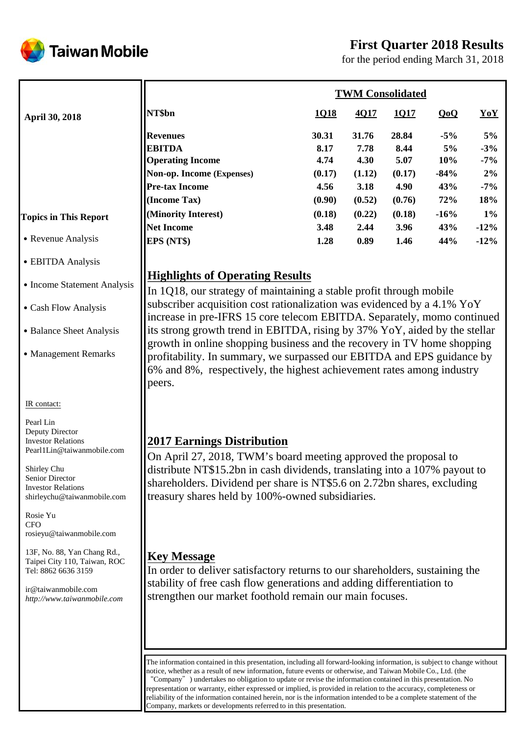# **First Quarter 2018 Results**



for the period ending March 31, 2018

|                              | <b>TWM Consolidated</b>                                       |           |        |                        |        |        |  |  |
|------------------------------|---------------------------------------------------------------|-----------|--------|------------------------|--------|--------|--|--|
| <b>April 30, 2018</b>        | NT\$bn                                                        | 1Q18      | 4Q17   | 1Q17                   | QoQ    | YoY    |  |  |
|                              | <b>Revenues</b>                                               | 30.31     | 31.76  | 28.84                  | $-5\%$ | $5\%$  |  |  |
|                              | <b>EBITDA</b>                                                 | 8.17      | 7.78   | 8.44                   | 5%     | $-3%$  |  |  |
|                              | <b>Operating Income</b>                                       | 4.74      | 4.30   | 5.07                   | 10%    | $-7\%$ |  |  |
|                              | Non-op. Income (Expenses)                                     | (0.17)    | (1.12) | (0.17)                 | $-84%$ | $2\%$  |  |  |
|                              | <b>Pre-tax Income</b>                                         | 4.56      | 3.18   | 4.90                   | 43%    | $-7\%$ |  |  |
|                              | (Income Tax)                                                  | (0.90)    | (0.52) | (0.76)                 | 72%    | 18%    |  |  |
| <b>Topics in This Report</b> | (Minority Interest)                                           | (0.18)    | (0.22) | (0.18)                 | $-16%$ | $1\%$  |  |  |
|                              | <b>Net Income</b>                                             | 3.48      | 2.44   | 3.96                   | 43%    | $-12%$ |  |  |
| • Revenue Analysis           | EPS (NT\$)                                                    | 1.28      | 0.89   | 1.46                   | 44%    | $-12%$ |  |  |
| • EBITDA Analysis            |                                                               |           |        |                        |        |        |  |  |
| • Income Statement Analysis  | <b>Highlights of Operating Results</b><br>$1010$ $\ldots$ $0$ | $\sim$ 11 |        | $C^*$ and $T^*$<br>- 1 | 1.1    |        |  |  |

In 1Q18, our strategy of maintaining a stable profit through mobile subscriber acquisition cost rationalization was evidenced by a 4.1% YoY increase in pre-IFRS 15 core telecom EBITDA. Separately, momo continued its strong growth trend in EBITDA, rising by 37% YoY, aided by the stellar growth in online shopping business and the recovery in TV home shopping profitability. In summary, we surpassed our EBITDA and EPS guidance by 6% and 8%, respectively, the highest achievement rates among industry peers.

# **2017 Earnings Distribution**

On April 27, 2018, TWM's board meeting approved the proposal to distribute NT\$15.2bn in cash dividends, translating into a 107% payout to shareholders. Dividend per share is NT\$5.6 on 2.72bn shares, excluding treasury shares held by 100%-owned subsidiaries.

# **Key Message**

In order to deliver satisfactory returns to our shareholders, sustaining the stability of free cash flow generations and adding differentiation to strengthen our market foothold remain our main focuses.

The information contained in this presentation, including all forward-looking information, is subject to change without notice, whether as a result of new information, future events or otherwise, and Taiwan Mobile Co., Ltd. (the "Company") undertakes no obligation to update or revise the information contained in this presentation. No representation or warranty, either expressed or implied, is provided in relation to the accuracy, completeness or reliability of the information contained herein, nor is the information intended to be a complete statement of the Company, markets or developments referred to in this presentation.

#### IR contact:

Pearl Lin Deputy Director Investor Relations Pearl1Lin@taiwanmobile.com

˙Cash Flow Analysis

• Balance Sheet Analysis

˙Management Remarks

Shirley Chu Senior Director Investor Relations shirleychu@taiwanmobile.com

Rosie Yu CFO rosieyu@taiwanmobile.com

13F, No. 88, Yan Chang Rd., Taipei City 110, Taiwan, ROC Tel: 8862 6636 3159

ir@taiwanmobile.com *http://www.taiwanmobile.com*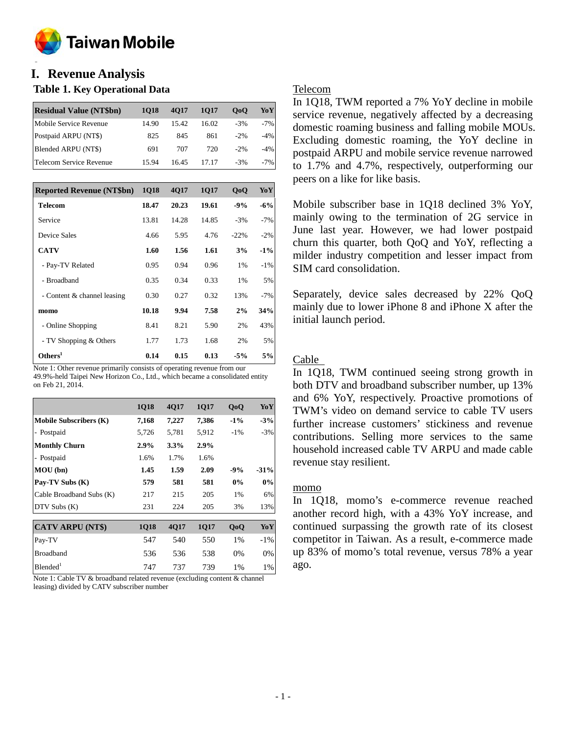

#### **o I. Revenue Analysis**

### **Table 1. Key Operational Data**

| <b>Residual Value (NT\$bn)</b> | 1018  | 4017  | 1017  | 0 <sub>0</sub> | YoY    |
|--------------------------------|-------|-------|-------|----------------|--------|
| Mobile Service Revenue         | 14.90 | 15.42 | 16.02 | $-3%$          | $-7%$  |
| Postpaid ARPU (NT\$)           | 825   | 845   | 861   | $-2\%$         | $-4%$  |
| Blended ARPU (NT\$)            | 691   | 707   | 720   | $-2\%$         | $-4\%$ |
| Telecom Service Revenue        | 15.94 | 16.45 | 17.17 | $-3%$          | $-7\%$ |

| <b>Reported Revenue (NT\$bn)</b> | <b>1Q18</b> | 4Q17  | 1Q17  | QoQ    | YoY    |
|----------------------------------|-------------|-------|-------|--------|--------|
| <b>Telecom</b>                   | 18.47       | 20.23 | 19.61 | $-9%$  | $-6%$  |
| Service                          | 13.81       | 14.28 | 14.85 | $-3%$  | $-7%$  |
| Device Sales                     | 4.66        | 5.95  | 4.76  | $-22%$ | $-2%$  |
| <b>CATV</b>                      | 1.60        | 1.56  | 1.61  | 3%     | $-1\%$ |
| - Pay-TV Related                 | 0.95        | 0.94  | 0.96  | 1%     | $-1%$  |
| - Broadband                      | 0.35        | 0.34  | 0.33  | 1%     | 5%     |
| - Content & channel leasing      | 0.30        | 0.27  | 0.32  | 13%    | $-7%$  |
| momo                             | 10.18       | 9.94  | 7.58  | 2%     | 34%    |
| - Online Shopping                | 8.41        | 8.21  | 5.90  | 2%     | 43%    |
| - TV Shopping & Others           | 1.77        | 1.73  | 1.68  | 2%     | 5%     |
| Others <sup>1</sup>              | 0.14        | 0.15  | 0.13  | $-5%$  | 5%     |

Note 1: Other revenue primarily consists of operating revenue from our 49.9%-held Taipei New Horizon Co., Ltd., which became a consolidated entity on Feb 21, 2014.

|                               | <b>1Q18</b> | 4Q17  | 1Q17  | QoQ    | YoY    |
|-------------------------------|-------------|-------|-------|--------|--------|
| <b>Mobile Subscribers (K)</b> | 7,168       | 7,227 | 7,386 | $-1\%$ | $-3%$  |
| - Postpaid                    | 5,726       | 5,781 | 5,912 | $-1\%$ | $-3%$  |
| <b>Monthly Churn</b>          | 2.9%        | 3.3%  | 2.9%  |        |        |
| - Postpaid                    | 1.6%        | 1.7%  | 1.6%  |        |        |
| MOU(bn)                       | 1.45        | 1.59  | 2.09  | $-9%$  | $-31%$ |
| Pay-TV Subs (K)               | 579         | 581   | 581   | $0\%$  | 0%     |
| Cable Broadband Subs (K)      | 217         | 215   | 205   | 1%     | 6%     |
| DTV Subs (K)                  | 231         | 224   | 205   | 3%     | 13%    |
| <b>CATV ARPU (NT\$)</b>       | <b>1Q18</b> | 4Q17  | 1Q17  | QoQ    | YoY    |
| Pay-TV                        | 547         | 540   | 550   | 1%     | $-1\%$ |
| <b>Broadband</b>              | 536         | 536   | 538   | $0\%$  | 0%     |
| Blended <sup>1</sup>          | 747         | 737   | 739   | 1%     | 1%     |

Note 1: Cable TV & broadband related revenue (excluding content & channel leasing) divided by CATV subscriber number

## Telecom

In 1Q18, TWM reported a 7% YoY decline in mobile service revenue, negatively affected by a decreasing domestic roaming business and falling mobile MOUs. Excluding domestic roaming, the YoY decline in postpaid ARPU and mobile service revenue narrowed to 1.7% and 4.7%, respectively, outperforming our peers on a like for like basis.

Mobile subscriber base in 1Q18 declined 3% YoY, mainly owing to the termination of 2G service in June last year. However, we had lower postpaid churn this quarter, both QoQ and YoY, reflecting a milder industry competition and lesser impact from SIM card consolidation.

Separately, device sales decreased by 22% QoQ mainly due to lower iPhone 8 and iPhone X after the initial launch period.

## Cable

In 1Q18, TWM continued seeing strong growth in both DTV and broadband subscriber number, up 13% and 6% YoY, respectively. Proactive promotions of TWM's video on demand service to cable TV users further increase customers' stickiness and revenue contributions. Selling more services to the same household increased cable TV ARPU and made cable revenue stay resilient.

### momo

In 1Q18, momo's e-commerce revenue reached another record high, with a 43% YoY increase, and continued surpassing the growth rate of its closest competitor in Taiwan. As a result, e-commerce made up 83% of momo's total revenue, versus 78% a year ago.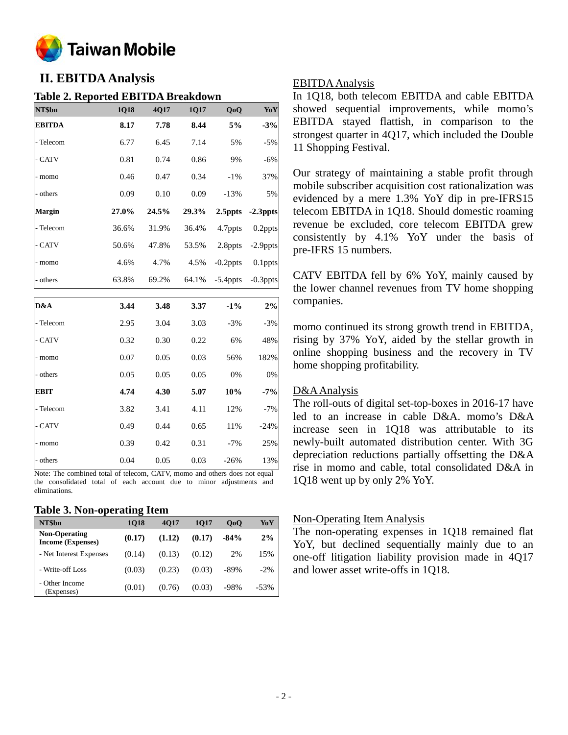

# **II. EBITDA Analysis**

### **Table 2. Reported EBITDA Breakdown**

| NT\$bn        | 1Q18  | 4Q17  | 1Q17  | QoQ         | YoY         |
|---------------|-------|-------|-------|-------------|-------------|
| <b>EBITDA</b> | 8.17  | 7.78  | 8.44  | 5%          | $-3%$       |
| - Telecom     | 6.77  | 6.45  | 7.14  | 5%          | $-5%$       |
| - CATV        | 0.81  | 0.74  | 0.86  | 9%          | $-6%$       |
| - momo        | 0.46  | 0.47  | 0.34  | $-1%$       | 37%         |
| - others      | 0.09  | 0.10  | 0.09  | $-13%$      | 5%          |
| Margin        | 27.0% | 24.5% | 29.3% | 2.5ppts     | $-2.3$ ppts |
| - Telecom     | 36.6% | 31.9% | 36.4% | 4.7ppts     | $0.2$ ppts  |
| - CATV        | 50.6% | 47.8% | 53.5% | 2.8ppts     | -2.9ppts    |
| - momo        | 4.6%  | 4.7%  | 4.5%  | $-0.2$ ppts | 0.1ppts     |
| - others      | 63.8% | 69.2% | 64.1% | $-5.4$ ppts | $-0.3$ ppts |
|               |       |       |       |             |             |
| D&A           | 3.44  | 3.48  | 3.37  | $-1\%$      | $2\%$       |
| - Telecom     | 2.95  | 3.04  | 3.03  | $-3%$       | $-3%$       |
| - CATV        | 0.32  | 0.30  | 0.22  | 6%          | 48%         |
| - momo        | 0.07  | 0.05  | 0.03  | 56%         | 182%        |
| - others      | 0.05  | 0.05  | 0.05  | 0%          | 0%          |
| <b>EBIT</b>   | 4.74  | 4.30  | 5.07  | 10%         | $-7%$       |
| - Telecom     | 3.82  | 3.41  | 4.11  | 12%         | $-7%$       |
| - CATV        | 0.49  | 0.44  | 0.65  | 11%         | $-24%$      |
| - momo        | 0.39  | 0.42  | 0.31  | $-7%$       | 25%         |
| - others      | 0.04  | 0.05  | 0.03  | $-26%$      | 13%         |

Note: The combined total of telecom, CATV, momo and others does not equal the consolidated total of each account due to minor adjustments and eliminations.

#### **Table 3. Non-operating Item**

| NT\$bn                                           | 1018   | 4017   | 1017   | 0 <sub>0</sub> | YoY    |
|--------------------------------------------------|--------|--------|--------|----------------|--------|
| <b>Non-Operating</b><br><b>Income (Expenses)</b> | (0.17) | (1.12) | (0.17) | $-84%$         | 2%     |
| - Net Interest Expenses                          | (0.14) | (0.13) | (0.12) | 2%             | 15%    |
| - Write-off Loss                                 | (0.03) | (0.23) | (0.03) | $-89\%$        | $-2\%$ |
| - Other Income<br>(Expenses)                     | (0.01) | (0.76) | (0.03) | $-98%$         | $-53%$ |

#### EBITDA Analysis

In 1Q18, both telecom EBITDA and cable EBITDA showed sequential improvements, while momo's EBITDA stayed flattish, in comparison to the strongest quarter in 4Q17, which included the Double 11 Shopping Festival.

Our strategy of maintaining a stable profit through mobile subscriber acquisition cost rationalization was evidenced by a mere 1.3% YoY dip in pre-IFRS15 telecom EBITDA in 1Q18. Should domestic roaming revenue be excluded, core telecom EBITDA grew consistently by 4.1% YoY under the basis of pre-IFRS 15 numbers.

CATV EBITDA fell by 6% YoY, mainly caused by the lower channel revenues from TV home shopping companies.

momo continued its strong growth trend in EBITDA, rising by 37% YoY, aided by the stellar growth in online shopping business and the recovery in TV home shopping profitability.

### D&A Analysis

The roll-outs of digital set-top-boxes in 2016-17 have led to an increase in cable D&A. momo's D&A increase seen in 1Q18 was attributable to its newly-built automated distribution center. With 3G depreciation reductions partially offsetting the D&A rise in momo and cable, total consolidated D&A in 1Q18 went up by only 2% YoY.

#### Non-Operating Item Analysis

The non-operating expenses in 1Q18 remained flat YoY, but declined sequentially mainly due to an one-off litigation liability provision made in 4Q17 and lower asset write-offs in 1Q18.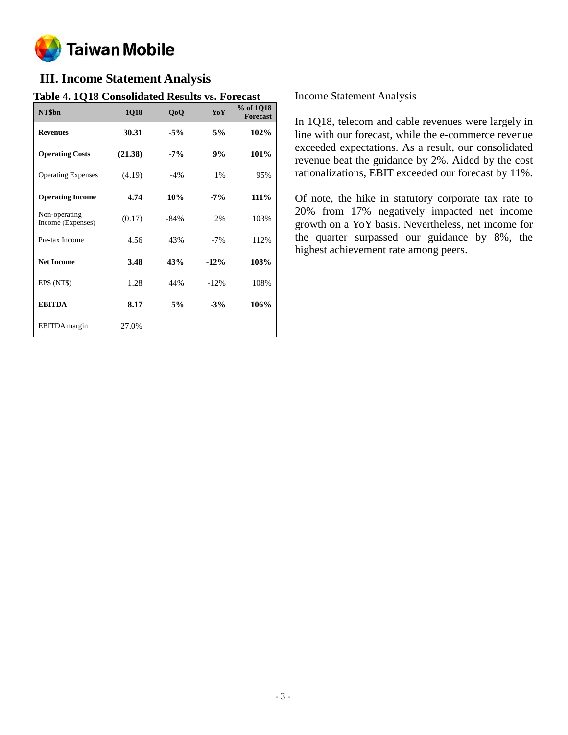

# **III. Income Statement Analysis**

## **Table 4. 1Q18 Consolidated Results vs. Forecast**

| NT\$bn                             | <b>1Q18</b> | QoQ     | YoY     | % of 1Q18<br><b>Forecast</b> |
|------------------------------------|-------------|---------|---------|------------------------------|
| <b>Revenues</b>                    | 30.31       | $-5%$   | 5%      | 102%                         |
| <b>Operating Costs</b>             | (21.38)     | $-7%$   | 9%      | 101%                         |
| <b>Operating Expenses</b>          | (4.19)      | $-4%$   | 1%      | 95%                          |
| <b>Operating Income</b>            | 4.74        | 10%     | $-7%$   | 111%                         |
| Non-operating<br>Income (Expenses) | (0.17)      | $-84\%$ | 2%      | 103%                         |
| Pre-tax Income                     | 4.56        | 43%     | $-7%$   | 112%                         |
| <b>Net Income</b>                  | 3.48        | 43%     | $-12%$  | 108%                         |
| EPS (NT\$)                         | 1.28        | 44%     | $-12\%$ | 108%                         |
| <b>EBITDA</b>                      | 8.17        | 5%      | $-3%$   | 106%                         |
| EBITDA margin                      | 27.0%       |         |         |                              |

### Income Statement Analysis

In 1Q18, telecom and cable revenues were largely in line with our forecast, while the e-commerce revenue exceeded expectations. As a result, our consolidated revenue beat the guidance by 2%. Aided by the cost rationalizations, EBIT exceeded our forecast by 11%.

Of note, the hike in statutory corporate tax rate to 20% from 17% negatively impacted net income growth on a YoY basis. Nevertheless, net income for the quarter surpassed our guidance by 8%, the highest achievement rate among peers.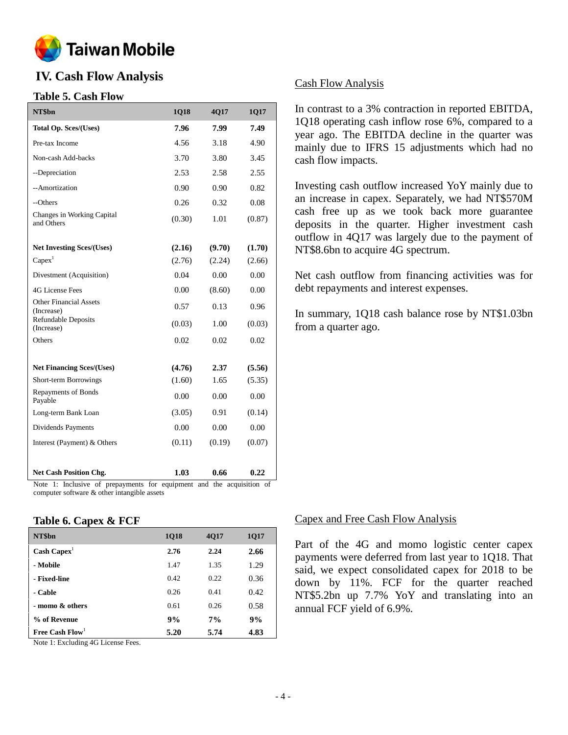

# **IV. Cash Flow Analysis**

### **Table 5. Cash Flow**

| NT\$bn                                      | 1Q18   | 4Q17   | 1Q17   |
|---------------------------------------------|--------|--------|--------|
| <b>Total Op. Sces/(Uses)</b>                | 7.96   | 7.99   | 7.49   |
| Pre-tax Income                              | 4.56   | 3.18   | 4.90   |
| Non-cash Add-backs                          | 3.70   | 3.80   | 3.45   |
| --Depreciation                              | 2.53   | 2.58   | 2.55   |
| --Amortization                              | 0.90   | 0.90   | 0.82   |
| --Others                                    | 0.26   | 0.32   | 0.08   |
| Changes in Working Capital<br>and Others    | (0.30) | 1.01   | (0.87) |
| <b>Net Investing Sces/(Uses)</b>            | (2.16) | (9.70) | (1.70) |
| Capex <sup>1</sup>                          | (2.76) | (2.24) | (2.66) |
| Divestment (Acquisition)                    | 0.04   | 0.00   | 0.00   |
| 4G License Fees                             | 0.00   | (8.60) | 0.00   |
| <b>Other Financial Assets</b><br>(Increase) | 0.57   | 0.13   | 0.96   |
| <b>Refundable Deposits</b><br>(Increase)    | (0.03) | 1.00   | (0.03) |
| Others                                      | 0.02   | 0.02   | 0.02   |
| <b>Net Financing Sces/(Uses)</b>            | (4.76) | 2.37   | (5.56) |
| Short-term Borrowings                       | (1.60) | 1.65   | (5.35) |
| <b>Repayments of Bonds</b><br>Payable       | 0.00   | 0.00   | 0.00   |
| Long-term Bank Loan                         | (3.05) | 0.91   | (0.14) |
| Dividends Payments                          | 0.00   | 0.00   | 0.00   |
| Interest (Payment) & Others                 | (0.11) | (0.19) | (0.07) |
| <b>Net Cash Position Chg.</b>               | 1.03   | 0.66   | 0.22   |

Note 1: Inclusive of prepayments for equipment and the acquisition of computer software & other intangible assets

#### **Table 6. Capex & FCF**

| NT\$bn                      | <b>1Q18</b> | 4Q17 | 1Q17 |
|-----------------------------|-------------|------|------|
| $\text{Cash} \text{ Capex}$ | 2.76        | 2.24 | 2.66 |
| - Mobile                    | 1.47        | 1.35 | 1.29 |
| - Fixed-line                | 0.42        | 0.22 | 0.36 |
| - Cable                     | 0.26        | 0.41 | 0.42 |
| - momo & others             | 0.61        | 0.26 | 0.58 |
| % of Revenue                | 9%          | 7%   | 9%   |
| Free Cash Flow <sup>1</sup> | 5.20        | 5.74 | 4.83 |

Note 1: Excluding 4G License Fees.

### Cash Flow Analysis

In contrast to a 3% contraction in reported EBITDA, 1Q18 operating cash inflow rose 6%, compared to a year ago. The EBITDA decline in the quarter was mainly due to IFRS 15 adjustments which had no cash flow impacts.

Investing cash outflow increased YoY mainly due to an increase in capex. Separately, we had NT\$570M cash free up as we took back more guarantee deposits in the quarter. Higher investment cash outflow in 4Q17 was largely due to the payment of NT\$8.6bn to acquire 4G spectrum.

Net cash outflow from financing activities was for debt repayments and interest expenses.

In summary, 1Q18 cash balance rose by NT\$1.03bn from a quarter ago.

### Capex and Free Cash Flow Analysis

Part of the 4G and momo logistic center capex payments were deferred from last year to 1Q18. That said, we expect consolidated capex for 2018 to be down by 11%. FCF for the quarter reached NT\$5.2bn up 7.7% YoY and translating into an annual FCF yield of 6.9%.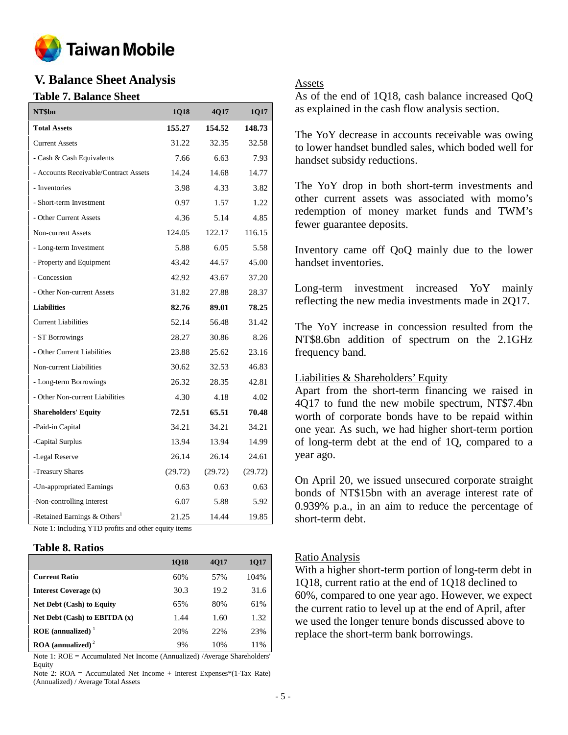

# **V. Balance Sheet Analysis**

### **Table 7. Balance Sheet**

| NT\$bn                                   | 1Q18    | 4Q17    | 1Q17    |
|------------------------------------------|---------|---------|---------|
| <b>Total Assets</b>                      | 155.27  | 154.52  | 148.73  |
| <b>Current Assets</b>                    | 31.22   | 32.35   | 32.58   |
| - Cash & Cash Equivalents                | 7.66    | 6.63    | 7.93    |
| - Accounts Receivable/Contract Assets    | 14.24   | 14.68   | 14.77   |
| - Inventories                            | 3.98    | 4.33    | 3.82    |
| - Short-term Investment                  | 0.97    | 1.57    | 1.22    |
| - Other Current Assets                   | 4.36    | 5.14    | 4.85    |
| Non-current Assets                       | 124.05  | 122.17  | 116.15  |
| - Long-term Investment                   | 5.88    | 6.05    | 5.58    |
| - Property and Equipment                 | 43.42   | 44.57   | 45.00   |
| - Concession                             | 42.92   | 43.67   | 37.20   |
| - Other Non-current Assets               | 31.82   | 27.88   | 28.37   |
| <b>Liabilities</b>                       | 82.76   | 89.01   | 78.25   |
| <b>Current Liabilities</b>               | 52.14   | 56.48   | 31.42   |
| - ST Borrowings                          | 28.27   | 30.86   | 8.26    |
| - Other Current Liabilities              | 23.88   | 25.62   | 23.16   |
| Non-current Liabilities                  | 30.62   | 32.53   | 46.83   |
| - Long-term Borrowings                   | 26.32   | 28.35   | 42.81   |
| - Other Non-current Liabilities          | 4.30    | 4.18    | 4.02    |
| <b>Shareholders' Equity</b>              | 72.51   | 65.51   | 70.48   |
| -Paid-in Capital                         | 34.21   | 34.21   | 34.21   |
| -Capital Surplus                         | 13.94   | 13.94   | 14.99   |
| -Legal Reserve                           | 26.14   | 26.14   | 24.61   |
| -Treasury Shares                         | (29.72) | (29.72) | (29.72) |
| -Un-appropriated Earnings                | 0.63    | 0.63    | 0.63    |
| -Non-controlling Interest                | 6.07    | 5.88    | 5.92    |
| -Retained Earnings & Others <sup>1</sup> | 21.25   | 14.44   | 19.85   |

Note 1: Including YTD profits and other equity items

#### **Table 8. Ratios**

|                                          | <b>1018</b> | <b>4017</b> | <b>1Q17</b> |
|------------------------------------------|-------------|-------------|-------------|
| <b>Current Ratio</b>                     | 60%         | 57%         | 104%        |
| <b>Interest Coverage (x)</b>             | 30.3        | 19.2        | 31.6        |
| <b>Net Debt (Cash) to Equity</b>         | 65%         | 80%         | 61%         |
| Net Debt $(Cash)$ to EBITDA $(x)$        | 1.44        | 1.60        | 1.32        |
| ROE (annualized) $1$                     | 20%         | 22%         | 23%         |
| $\textbf{ROA}$ (annualized) <sup>2</sup> | 9%          | 10%         | 11%         |

Note 1: ROE = Accumulated Net Income (Annualized) /Average Shareholders' Equity

Note 2: ROA = Accumulated Net Income + Interest Expenses\*(1-Tax Rate) (Annualized) / Average Total Assets

#### Assets

As of the end of 1Q18, cash balance increased QoQ as explained in the cash flow analysis section.

The YoY decrease in accounts receivable was owing to lower handset bundled sales, which boded well for handset subsidy reductions.

The YoY drop in both short-term investments and other current assets was associated with momo's redemption of money market funds and TWM's fewer guarantee deposits.

Inventory came off QoQ mainly due to the lower handset inventories.

Long-term investment increased YoY mainly reflecting the new media investments made in 2Q17.

The YoY increase in concession resulted from the NT\$8.6bn addition of spectrum on the 2.1GHz frequency band.

### Liabilities & Shareholders' Equity

Apart from the short-term financing we raised in 4Q17 to fund the new mobile spectrum, NT\$7.4bn worth of corporate bonds have to be repaid within one year. As such, we had higher short-term portion of long-term debt at the end of 1Q, compared to a year ago.

On April 20, we issued unsecured corporate straight bonds of NT\$15bn with an average interest rate of 0.939% p.a., in an aim to reduce the percentage of short-term debt.

### Ratio Analysis

With a higher short-term portion of long-term debt in 1Q18, current ratio at the end of 1Q18 declined to 60%, compared to one year ago. However, we expect the current ratio to level up at the end of April, after we used the longer tenure bonds discussed above to replace the short-term bank borrowings.